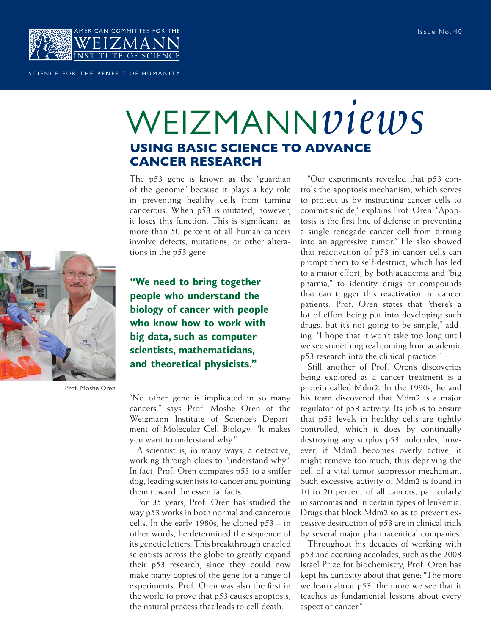

## SCIENCE FOR THE BENEFIT OF HUMANITY

## WEIZMANN*views* **USING BASIC SCIENCE TO ADVANCE CANCER RESEARCH**

The p53 gene is known as the "guardian of the genome" because it plays a key role in preventing healthy cells from turning cancerous. When p53 is mutated, however, it loses this function. This is significant, as more than 50 percent of all human cancers involve defects, mutations, or other alterations in the p53 gene.



Prof. Moshe Oren

**"We need to bring together people who understand the biology of cancer with people who know how to work with big data, such as computer scientists, mathematicians, and theoretical physicists."** 

"No other gene is implicated in so many cancers," says Prof. Moshe Oren of the Weizmann Institute of Science's Department of Molecular Cell Biology. "It makes you want to understand why."

A scientist is, in many ways, a detective, working through clues to "understand why." In fact, Prof. Oren compares p53 to a sniffer dog, leading scientists to cancer and pointing them toward the essential facts.

For 35 years, Prof. Oren has studied the way p53 works in both normal and cancerous cells. In the early 1980s, he cloned p53 – in other words, he determined the sequence of its genetic letters. This breakthrough enabled scientists across the globe to greatly expand their p53 research, since they could now make many copies of the gene for a range of experiments. Prof. Oren was also the first in the world to prove that p53 causes apoptosis, the natural process that leads to cell death.

"Our experiments revealed that p53 controls the apoptosis mechanism, which serves to protect us by instructing cancer cells to commit suicide," explains Prof. Oren. "Apoptosis is the first line of defense in preventing a single renegade cancer cell from turning into an aggressive tumor." He also showed that reactivation of p53 in cancer cells can prompt them to self-destruct, which has led to a major effort, by both academia and "big pharma," to identify drugs or compounds that can trigger this reactivation in cancer patients. Prof. Oren states that "there's a lot of effort being put into developing such drugs, but it's not going to be simple," adding: "I hope that it won't take too long until we see something real coming from academic p53 research into the clinical practice."

Still another of Prof. Oren's discoveries being explored as a cancer treatment is a protein called Mdm2. In the 1990s, he and his team discovered that Mdm2 is a major regulator of p53 activity. Its job is to ensure that p53 levels in healthy cells are tightly controlled, which it does by continually destroying any surplus p53 molecules; however, if Mdm2 becomes overly active, it might remove too much, thus depriving the cell of a vital tumor suppressor mechanism. Such excessive activity of Mdm2 is found in 10 to 20 percent of all cancers, particularly in sarcomas and in certain types of leukemia. Drugs that block Mdm2 so as to prevent excessive destruction of p53 are in clinical trials by several major pharmaceutical companies.

Throughout his decades of working with p53 and accruing accolades, such as the 2008 Israel Prize for biochemistry, Prof. Oren has kept his curiosity about that gene: "The more we learn about p53, the more we see that it teaches us fundamental lessons about every aspect of cancer."